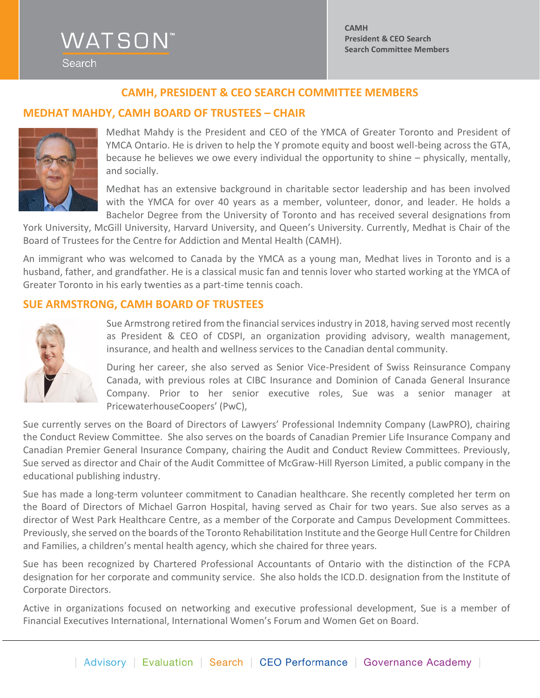# **WATSON** Search

### **CAMH, PRESIDENT & CEO SEARCH COMMITTEE MEMBERS**

#### **MEDHAT MAHDY, CAMH BOARD OF TRUSTEES – CHAIR**



Medhat Mahdy is the President and CEO of the YMCA of Greater Toronto and President of YMCA Ontario. He is driven to help the Y promote equity and boost well-being across the GTA, because he believes we owe every individual the opportunity to shine – physically, mentally, and socially.

Medhat has an extensive background in charitable sector leadership and has been involved with the YMCA for over 40 years as a member, volunteer, donor, and leader. He holds a Bachelor Degree from the University of Toronto and has received several designations from

York University, McGill University, Harvard University, and Queen's University. Currently, Medhat is Chair of the Board of Trustees for the Centre for Addiction and Mental Health (CAMH).

An immigrant who was welcomed to Canada by the YMCA as a young man, Medhat lives in Toronto and is a husband, father, and grandfather. He is a classical music fan and tennis lover who started working at the YMCA of Greater Toronto in his early twenties as a part-time tennis coach.

#### **SUE ARMSTRONG, CAMH BOARD OF TRUSTEES**



Sue Armstrong retired from the financial services industry in 2018, having served most recently as President & CEO of CDSPI, an organization providing advisory, wealth management, insurance, and health and wellness services to the Canadian dental community.

During her career, she also served as Senior Vice-President of Swiss Reinsurance Company Canada, with previous roles at CIBC Insurance and Dominion of Canada General Insurance Company. Prior to her senior executive roles, Sue was a senior manager at PricewaterhouseCoopers' (PwC),

Sue currently serves on the Board of Directors of Lawyers' Professional Indemnity Company (LawPRO), chairing the Conduct Review Committee. She also serves on the boards of Canadian Premier Life Insurance Company and Canadian Premier General Insurance Company, chairing the Audit and Conduct Review Committees. Previously, Sue served as director and Chair of the Audit Committee of McGraw-Hill Ryerson Limited, a public company in the educational publishing industry.

Sue has made a long-term volunteer commitment to Canadian healthcare. She recently completed her term on the Board of Directors of Michael Garron Hospital, having served as Chair for two years. Sue also serves as a director of West Park Healthcare Centre, as a member of the Corporate and Campus Development Committees. Previously, she served on the boards of the Toronto Rehabilitation Institute and the George Hull Centre for Children and Families, a children's mental health agency, which she chaired for three years.

Sue has been recognized by Chartered Professional Accountants of Ontario with the distinction of the FCPA designation for her corporate and community service. She also holds the ICD.D. designation from the Institute of Corporate Directors.

Active in organizations focused on networking and executive professional development, Sue is a member of Financial Executives International, International Women's Forum and Women Get on Board.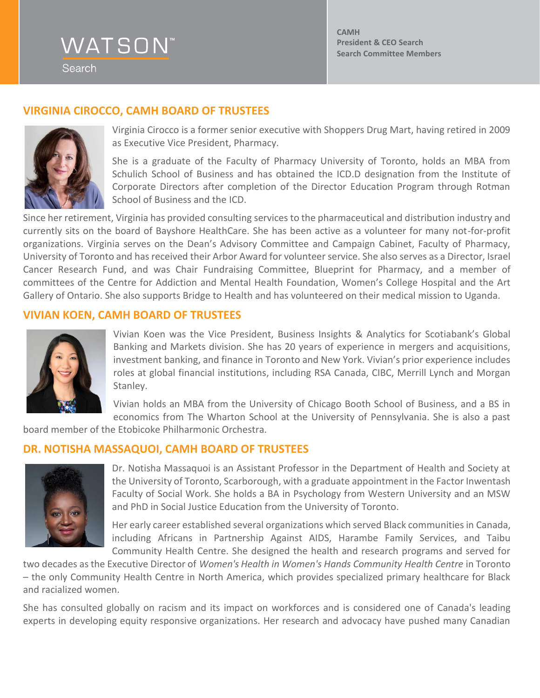Search

**CAMH President & CEO Search Search Committee Members**

### **VIRGINIA CIROCCO, CAMH BOARD OF TRUSTEES**



Virginia Cirocco is a former senior executive with Shoppers Drug Mart, having retired in 2009 as Executive Vice President, Pharmacy.

She is a graduate of the Faculty of Pharmacy University of Toronto, holds an MBA from Schulich School of Business and has obtained the ICD.D designation from the Institute of Corporate Directors after completion of the Director Education Program through Rotman School of Business and the ICD.

Since her retirement, Virginia has provided consulting services to the pharmaceutical and distribution industry and currently sits on the board of Bayshore HealthCare. She has been active as a volunteer for many not-for-profit organizations. Virginia serves on the Dean's Advisory Committee and Campaign Cabinet, Faculty of Pharmacy, University of Toronto and has received their Arbor Award for volunteer service. She also serves as a Director, Israel Cancer Research Fund, and was Chair Fundraising Committee, Blueprint for Pharmacy, and a member of committees of the Centre for Addiction and Mental Health Foundation, Women's College Hospital and the Art Gallery of Ontario. She also supports Bridge to Health and has volunteered on their medical mission to Uganda.

#### **VIVIAN KOEN, CAMH BOARD OF TRUSTEES**



Vivian Koen was the Vice President, Business Insights & Analytics for Scotiabank's Global Banking and Markets division. She has 20 years of experience in mergers and acquisitions, investment banking, and finance in Toronto and New York. Vivian's prior experience includes roles at global financial institutions, including RSA Canada, CIBC, Merrill Lynch and Morgan Stanley.

Vivian holds an MBA from the University of Chicago Booth School of Business, and a BS in economics from The Wharton School at the University of Pennsylvania. She is also a past

board member of the Etobicoke Philharmonic Orchestra.

#### **DR. NOTISHA MASSAQUOI, CAMH BOARD OF TRUSTEES**



Dr. Notisha Massaquoi is an Assistant Professor in the Department of Health and Society at the University of Toronto, Scarborough, with a graduate appointment in the Factor Inwentash Faculty of Social Work. She holds a BA in Psychology from Western University and an MSW and PhD in Social Justice Education from the University of Toronto.

Her early career established several organizations which served Black communities in Canada, including Africans in Partnership Against AIDS, Harambe Family Services, and Taibu Community Health Centre. She designed the health and research programs and served for

two decades as the Executive Director of *Women's Health in Women's Hands Community Health Centre* in Toronto – the only Community Health Centre in North America, which provides specialized primary healthcare for Black and racialized women.

She has consulted globally on racism and its impact on workforces and is considered one of Canada's leading experts in developing equity responsive organizations. Her research and advocacy have pushed many Canadian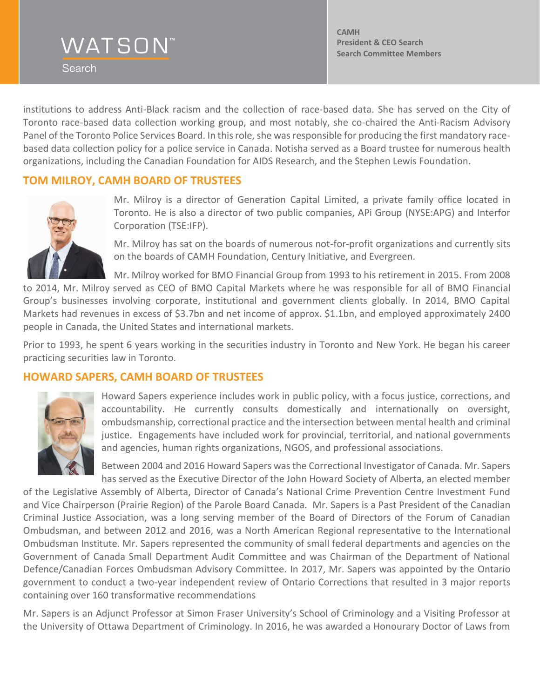Search

**CAMH President & CEO Search Search Committee Members**

institutions to address Anti-Black racism and the collection of race-based data. She has served on the City of Toronto race-based data collection working group, and most notably, she co-chaired the Anti-Racism Advisory Panel of the Toronto Police Services Board. In this role, she was responsible for producing the first mandatory racebased data collection policy for a police service in Canada. Notisha served as a Board trustee for numerous health organizations, including the Canadian Foundation for AIDS Research, and the Stephen Lewis Foundation.

#### **TOM MILROY, CAMH BOARD OF TRUSTEES**



Mr. Milroy is a director of Generation Capital Limited, a private family office located in Toronto. He is also a director of two public companies, APi Group (NYSE:APG) and Interfor Corporation (TSE:IFP).

Mr. Milroy has sat on the boards of numerous not-for-profit organizations and currently sits on the boards of CAMH Foundation, Century Initiative, and Evergreen.

Mr. Milroy worked for BMO Financial Group from 1993 to his retirement in 2015. From 2008

to 2014, Mr. Milroy served as CEO of BMO Capital Markets where he was responsible for all of BMO Financial Group's businesses involving corporate, institutional and government clients globally. In 2014, BMO Capital Markets had revenues in excess of \$3.7bn and net income of approx. \$1.1bn, and employed approximately 2400 people in Canada, the United States and international markets.

Prior to 1993, he spent 6 years working in the securities industry in Toronto and New York. He began his career practicing securities law in Toronto.

### **HOWARD SAPERS, CAMH BOARD OF TRUSTEES**



Howard Sapers experience includes work in public policy, with a focus justice, corrections, and accountability. He currently consults domestically and internationally on oversight, ombudsmanship, correctional practice and the intersection between mental health and criminal justice. Engagements have included work for provincial, territorial, and national governments and agencies, human rights organizations, NGOS, and professional associations.

Between 2004 and 2016 Howard Sapers was the Correctional Investigator of Canada. Mr. Sapers has served as the Executive Director of the John Howard Society of Alberta, an elected member

of the Legislative Assembly of Alberta, Director of Canada's National Crime Prevention Centre Investment Fund and Vice Chairperson (Prairie Region) of the Parole Board Canada. Mr. Sapers is a Past President of the Canadian Criminal Justice Association, was a long serving member of the Board of Directors of the Forum of Canadian Ombudsman, and between 2012 and 2016, was a North American Regional representative to the International Ombudsman Institute. Mr. Sapers represented the community of small federal departments and agencies on the Government of Canada Small Department Audit Committee and was Chairman of the Department of National Defence/Canadian Forces Ombudsman Advisory Committee. In 2017, Mr. Sapers was appointed by the Ontario government to conduct a two-year independent review of Ontario Corrections that resulted in 3 major reports containing over 160 transformative recommendations

Mr. Sapers is an Adjunct Professor at Simon Fraser University's School of Criminology and a Visiting Professor at the University of Ottawa Department of Criminology. In 2016, he was awarded a Honourary Doctor of Laws from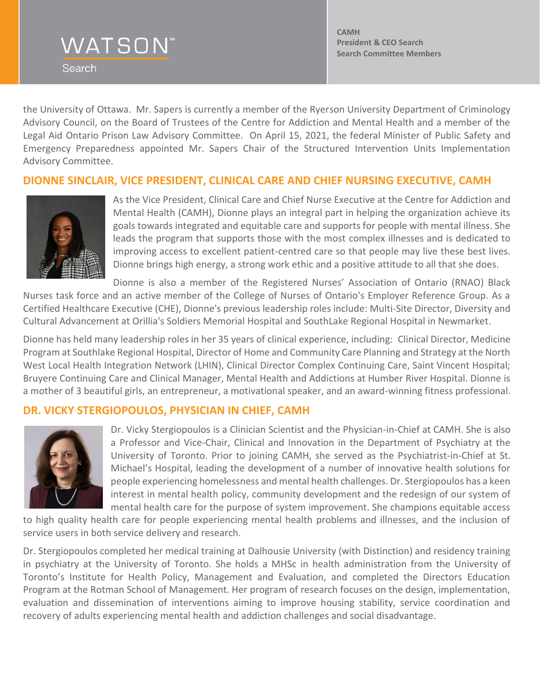Search

**CAMH President & CEO Search Search Committee Members**

the University of Ottawa. Mr. Sapers is currently a member of the Ryerson University Department of Criminology Advisory Council, on the Board of Trustees of the Centre for Addiction and Mental Health and a member of the Legal Aid Ontario Prison Law Advisory Committee. On April 15, 2021, the federal Minister of Public Safety and Emergency Preparedness appointed Mr. Sapers Chair of the Structured Intervention Units Implementation Advisory Committee.

## **DIONNE SINCLAIR, VICE PRESIDENT, CLINICAL CARE AND CHIEF NURSING EXECUTIVE, CAMH**



As the Vice President, Clinical Care and Chief Nurse Executive at the Centre for Addiction and Mental Health (CAMH), Dionne plays an integral part in helping the organization achieve its goals towards integrated and equitable care and supports for people with mental illness. She leads the program that supports those with the most complex illnesses and is dedicated to improving access to excellent patient-centred care so that people may live these best lives. Dionne brings high energy, a strong work ethic and a positive attitude to all that she does.

Dionne is also a member of the Registered Nurses' Association of Ontario (RNAO) Black Nurses task force and an active member of the College of Nurses of Ontario's Employer Reference Group. As a Certified Healthcare Executive (CHE), Dionne's previous leadership roles include: Multi-Site Director, Diversity and Cultural Advancement at Orillia's Soldiers Memorial Hospital and SouthLake Regional Hospital in Newmarket.

Dionne has held many leadership roles in her 35 years of clinical experience, including: Clinical Director, Medicine Program at Southlake Regional Hospital, Director of Home and Community Care Planning and Strategy at the North West Local Health Integration Network (LHIN), Clinical Director Complex Continuing Care, Saint Vincent Hospital; Bruyere Continuing Care and Clinical Manager, Mental Health and Addictions at Humber River Hospital. Dionne is a mother of 3 beautiful girls, an entrepreneur, a motivational speaker, and an award-winning fitness professional.

# **DR. VICKY STERGIOPOULOS, PHYSICIAN IN CHIEF, CAMH**



Dr. Vicky Stergiopoulos is a Clinician Scientist and the Physician-in-Chief at CAMH. She is also a Professor and Vice-Chair, Clinical and Innovation in the Department of Psychiatry at the University of Toronto. Prior to joining CAMH, she served as the Psychiatrist-in-Chief at St. Michael's Hospital, leading the development of a number of innovative health solutions for people experiencing homelessness and mental health challenges. Dr. Stergiopoulos has a keen interest in mental health policy, community development and the redesign of our system of mental health care for the purpose of system improvement. She champions equitable access

to high quality health care for people experiencing mental health problems and illnesses, and the inclusion of service users in both service delivery and research.

Dr. Stergiopoulos completed her medical training at Dalhousie University (with Distinction) and residency training in psychiatry at the University of Toronto. She holds a MHSc in health administration from the University of Toronto's Institute for Health Policy, Management and Evaluation, and completed the Directors Education Program at the Rotman School of Management. Her program of research focuses on the design, implementation, evaluation and dissemination of interventions aiming to improve housing stability, service coordination and recovery of adults experiencing mental health and addiction challenges and social disadvantage.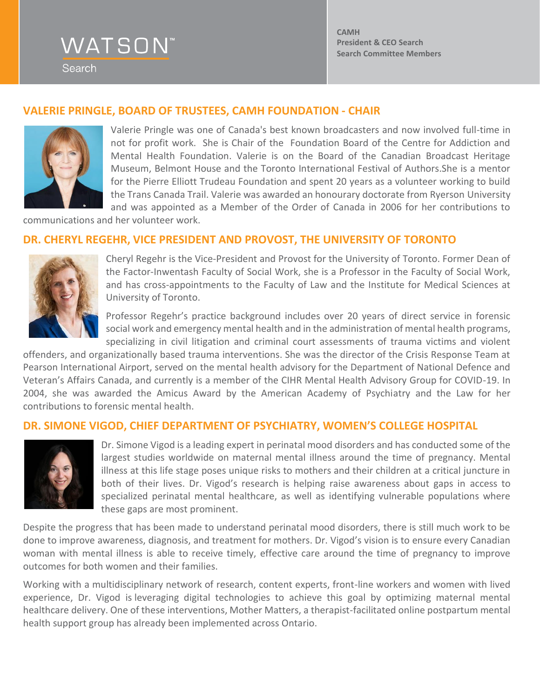Search

**CAMH President & CEO Search Search Committee Members**

### **VALERIE PRINGLE, BOARD OF TRUSTEES, CAMH FOUNDATION - CHAIR**



Valerie Pringle was one of Canada's best known broadcasters and now involved full-time in not for profit work. She is Chair of the Foundation Board of the Centre for Addiction and Mental Health Foundation. Valerie is on the Board of the Canadian Broadcast Heritage Museum, Belmont House and the Toronto International Festival of Authors.She is a mentor for the Pierre Elliott Trudeau Foundation and spent 20 years as a volunteer working to build the Trans Canada Trail. Valerie was awarded an honourary doctorate from Ryerson University and was appointed as a Member of the Order of Canada in 2006 for her contributions to

communications and her volunteer work.

#### **DR. CHERYL REGEHR, VICE PRESIDENT AND PROVOST, THE UNIVERSITY OF TORONTO**



Cheryl Regehr is the [Vice-President and Provost](http://www.provost.utoronto.ca/) for the University of Toronto. Former Dean of the Factor-Inwentash Faculty of Social Work, she is a Professor in the Faculty of Social Work, and has cross-appointments to the Faculty of Law and the Institute for Medical Sciences at University of Toronto.

Professor Regehr's practice background includes over 20 years of direct service in forensic social work and emergency mental health and in the administration of mental health programs, specializing in civil litigation and criminal court assessments of trauma victims and violent

offenders, and organizationally based trauma interventions. She was the director of the Crisis Response Team at Pearson International Airport, served on the mental health advisory for the Department of National Defence and Veteran's Affairs Canada, and currently is a member of the CIHR Mental Health Advisory Group for COVID-19. In 2004, she was awarded the Amicus Award by the American Academy of Psychiatry and the Law for her contributions to forensic mental health.

#### **DR. SIMONE VIGOD, CHIEF DEPARTMENT OF PSYCHIATRY, WOMEN'S COLLEGE HOSPITAL**



Dr. Simone Vigod is a leading expert in perinatal mood disorders and has conducted some of the largest studies worldwide on maternal mental illness around the time of pregnancy. Mental illness at this life stage poses unique risks to mothers and their children at a critical juncture in both of their lives. Dr. Vigod's research is helping raise awareness about gaps in access to specialized perinatal mental healthcare, as well as identifying vulnerable populations where these gaps are most prominent.

Despite the progress that has been made to understand perinatal mood disorders, there is still much work to be done to improve awareness, diagnosis, and treatment for mothers. Dr. Vigod's vision is to ensure every Canadian woman with mental illness is able to receive timely, effective care around the time of pregnancy to improve outcomes for both women and their families.

Working with a multidisciplinary network of research, content experts, front-line workers and women with lived experience, Dr. Vigod is leveraging digital technologies to achieve this goal by optimizing maternal mental healthcare delivery. One of these interventions, Mother Matters, a therapist-facilitated online postpartum mental health support group has already been implemented across Ontario.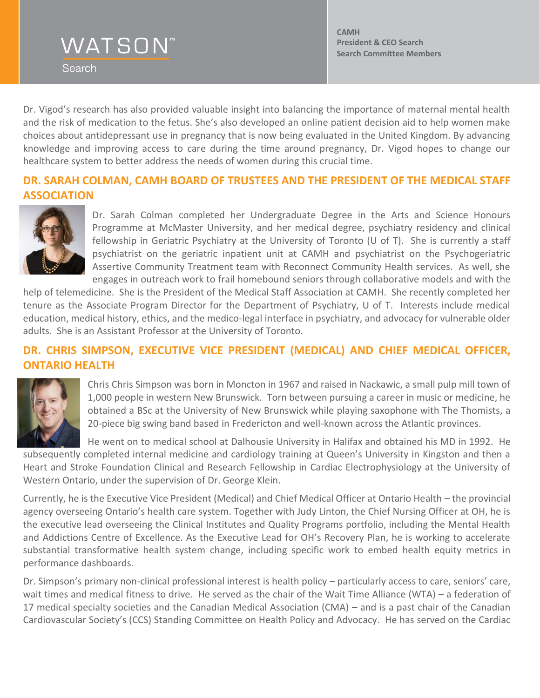Search

**CAMH President & CEO Search Search Committee Members**

Dr. Vigod's research has also provided valuable insight into balancing the importance of maternal mental health and the risk of medication to the fetus. She's also developed an online patient decision aid to help women make choices about antidepressant use in pregnancy that is now being evaluated in the United Kingdom. By advancing knowledge and improving access to care during the time around pregnancy, Dr. Vigod hopes to change our healthcare system to better address the needs of women during this crucial time.

### **DR. SARAH COLMAN, CAMH BOARD OF TRUSTEES AND THE PRESIDENT OF THE MEDICAL STAFF ASSOCIATION**



Dr. Sarah Colman completed her Undergraduate Degree in the Arts and Science Honours Programme at McMaster University, and her medical degree, psychiatry residency and clinical fellowship in Geriatric Psychiatry at the University of Toronto (U of T). She is currently a staff psychiatrist on the geriatric inpatient unit at CAMH and psychiatrist on the Psychogeriatric Assertive Community Treatment team with Reconnect Community Health services. As well, she engages in outreach work to frail homebound seniors through collaborative models and with the

help of telemedicine. She is the President of the Medical Staff Association at CAMH. She recently completed her tenure as the Associate Program Director for the Department of Psychiatry, U of T. Interests include medical education, medical history, ethics, and the medico-legal interface in psychiatry, and advocacy for vulnerable older adults. She is an Assistant Professor at the University of Toronto.

# **DR. CHRIS SIMPSON, EXECUTIVE VICE PRESIDENT (MEDICAL) AND CHIEF MEDICAL OFFICER, ONTARIO HEALTH**



Chris Chris Simpson was born in Moncton in 1967 and raised in Nackawic, a small pulp mill town of 1,000 people in western New Brunswick. Torn between pursuing a career in music or medicine, he obtained a BSc at the University of New Brunswick while playing saxophone with The Thomists, a 20-piece big swing band based in Fredericton and well-known across the Atlantic provinces.

He went on to medical school at Dalhousie University in Halifax and obtained his MD in 1992. He subsequently completed internal medicine and cardiology training at Queen's University in Kingston and then a Heart and Stroke Foundation Clinical and Research Fellowship in Cardiac Electrophysiology at the University of Western Ontario, under the supervision of Dr. George Klein.

Currently, he is the Executive Vice President (Medical) and Chief Medical Officer at Ontario Health – the provincial agency overseeing Ontario's health care system. Together with Judy Linton, the Chief Nursing Officer at OH, he is the executive lead overseeing the Clinical Institutes and Quality Programs portfolio, including the Mental Health and Addictions Centre of Excellence. As the Executive Lead for OH's Recovery Plan, he is working to accelerate substantial transformative health system change, including specific work to embed health equity metrics in performance dashboards.

Dr. Simpson's primary non-clinical professional interest is health policy – particularly access to care, seniors' care, wait times and medical fitness to drive. He served as the chair of the Wait Time Alliance (WTA) – a federation of 17 medical specialty societies and the Canadian Medical Association (CMA) – and is a past chair of the Canadian Cardiovascular Society's (CCS) Standing Committee on Health Policy and Advocacy. He has served on the Cardiac